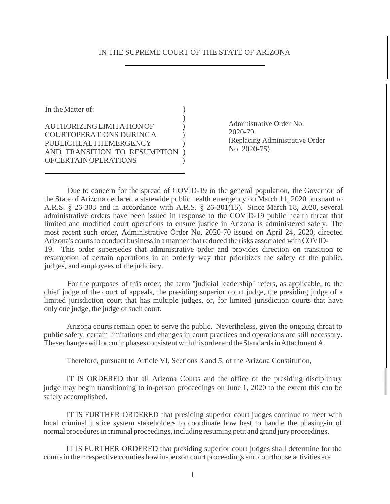#### IN THE SUPREME COURT OF THE STATE OF ARIZONA

In the Matter of:  $\qquad \qquad$  ) ) AUTHORIZING LIMITATION OF ) COURT OPERATIONS DURING A ) PUBLIC HEALTH EMERGENCY AND TRANSITION TO RESUMPTION ) OF CERTAIN OPERATIONS )

Administrative Order No. 2020-79 (Replacing Administrative Order No. 2020-75)

Due to concern for the spread of COVID-19 in the general population, the Governor of the State of Arizona declared a statewide public health emergency on March 11, 2020 pursuant to A.R.S. § 26-303 and in accordance with A.R.S. § 26-301(15). Since March 18, 2020, several administrative orders have been issued in response to the COVID-19 public health threat that limited and modified court operations to ensure justice in Arizona is administered safely. The most recent such order, Administrative Order No. 2020-70 issued on April 24, 2020, directed Arizona's courts to conduct business in a manner that reduced the risks associated with COVID-19. This order supersedes that administrative order and provides direction on transition to resumption of certain operations in an orderly way that prioritizes the safety of the public,

judges, and employees of the judiciary.

For the purposes of this order, the term ''judicial leadership" refers, as applicable, to the chief judge of the court of appeals, the presiding superior court judge, the presiding judge of a limited jurisdiction court that has multiple judges, or, for limited jurisdiction courts that have only one judge, the judge of such court.

Arizona courts remain open to serve the public. Nevertheless, given the ongoing threat to public safety, certain limitations and changes in court practices and operations are still necessary. These changes will occur in phases consistent with this order and the Standards in Attachment A.

Therefore, pursuant to Article VI, Sections 3 and *5,* of the Arizona Constitution,

IT IS ORDERED that all Arizona Courts and the office of the presiding disciplinary judge may begin transitioning to in-person proceedings on June 1, 2020 to the extent this can be safely accomplished.

IT IS FURTHER ORDERED that presiding superior court judges continue to meet with local criminal justice system stakeholders to coordinate how best to handle the phasing-in of normal procedures in criminal proceedings, including resuming petit and grand jury proceedings.

IT IS FURTHER ORDERED that presiding superior court judges shall determine for the courts in their respective counties how in-person court proceedings and courthouse activities are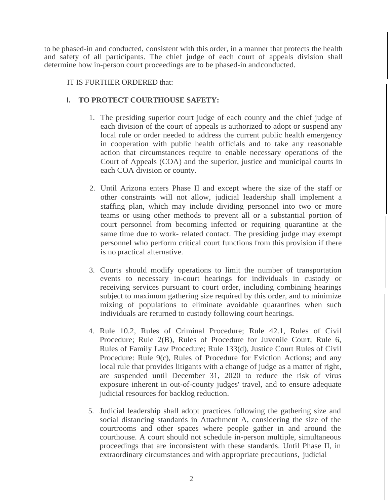to be phased-in and conducted, consistent with this order, in a manner that protects the health and safety of all participants. The chief judge of each court of appeals division shall determine how in-person court proceedings are to be phased-in and conducted.

IT IS FURTHER ORDERED that:

## **I. TO PROTECT COURTHOUSE SAFETY:**

- 1. The presiding superior court judge of each county and the chief judge of each division of the court of appeals is authorized to adopt or suspend any local rule or order needed to address the current public health emergency in cooperation with public health officials and to take any reasonable action that circumstances require to enable necessary operations of the Court of Appeals (COA) and the superior, justice and municipal courts in each COA division or county.
- 2. Until Arizona enters Phase II and except where the size of the staff or other constraints will not allow, judicial leadership shall implement a staffing plan, which may include dividing personnel into two or more teams or using other methods to prevent all or a substantial portion of court personnel from becoming infected or requiring quarantine at the same time due to work- related contact. The presiding judge may exempt personnel who perform critical court functions from this provision if there is no practical alternative.
- 3. Courts should modify operations to limit the number of transportation events to necessary in-court hearings for individuals in custody or receiving services pursuant to court order, including combining hearings subject to maximum gathering size required by this order, and to minimize mixing of populations to eliminate avoidable quarantines when such individuals are returned to custody following court hearings.
- 4. Rule 10.2, Rules of Criminal Procedure; Rule 42.1, Rules of Civil Procedure; Rule 2(B), Rules of Procedure for Juvenile Court; Rule 6, Rules of Family Law Procedure; Rule 133(d), Justice Court Rules of Civil Procedure: Rule 9(c), Rules of Procedure for Eviction Actions; and any local rule that provides litigants with a change of judge as a matter of right, are suspended until December 31, 2020 to reduce the risk of virus exposure inherent in out-of-county judges' travel, and to ensure adequate judicial resources for backlog reduction.
- 5. Judicial leadership shall adopt practices following the gathering size and social distancing standards in Attachment A, considering the size of the courtrooms and other spaces where people gather in and around the courthouse. A court should not schedule in-person multiple, simultaneous proceedings that are inconsistent with these standards. Until Phase II, in extraordinary circumstances and with appropriate precautions, judicial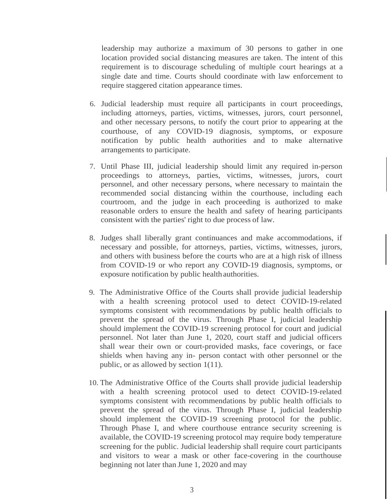leadership may authorize a maximum of 30 persons to gather in one location provided social distancing measures are taken. The intent of this requirement is to discourage scheduling of multiple court hearings at a single date and time. Courts should coordinate with law enforcement to require staggered citation appearance times.

- 6. Judicial leadership must require all participants in court proceedings, including attorneys, parties, victims, witnesses, jurors, court personnel, and other necessary persons, to notify the court prior to appearing at the courthouse, of any COVID-19 diagnosis, symptoms, or exposure notification by public health authorities and to make alternative arrangements to participate.
- 7. Until Phase III, judicial leadership should limit any required in-person proceedings to attorneys, parties, victims, witnesses, jurors, court personnel, and other necessary persons, where necessary to maintain the recommended social distancing within the courthouse, including each courtroom, and the judge in each proceeding is authorized to make reasonable orders to ensure the health and safety of hearing participants consistent with the parties' right to due process of law.
- 8. Judges shall liberally grant continuances and make accommodations, if necessary and possible, for attorneys, parties, victims, witnesses, jurors, and others with business before the courts who are at a high risk of illness from COVID-19 or who report any COVID-19 diagnosis, symptoms, or exposure notification by public health authorities.
- 9. The Administrative Office of the Courts shall provide judicial leadership with a health screening protocol used to detect COVID-19-related symptoms consistent with recommendations by public health officials to prevent the spread of the virus. Through Phase I, judicial leadership should implement the COVID-19 screening protocol for court and judicial personnel. Not later than June 1, 2020, court staff and judicial officers shall wear their own or court-provided masks, face coverings, or face shields when having any in- person contact with other personnel or the public, or as allowed by section 1(11).
- 10. The Administrative Office of the Courts shall provide judicial leadership with a health screening protocol used to detect COVID-19-related symptoms consistent with recommendations by public health officials to prevent the spread of the virus. Through Phase I, judicial leadership should implement the COVID-19 screening protocol for the public. Through Phase I, and where courthouse entrance security screening is available, the COVID-19 screening protocol may require body temperature screening for the public. Judicial leadership shall require court participants and visitors to wear a mask or other face-covering in the courthouse beginning not later than June 1, 2020 and may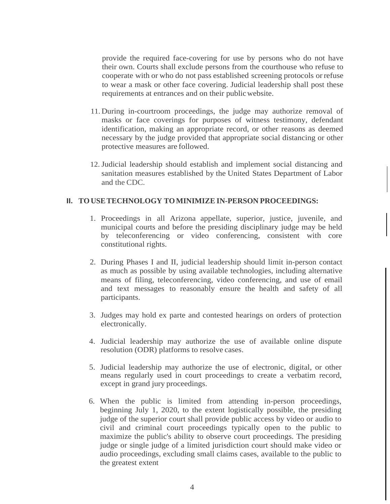provide the required face-covering for use by persons who do not have their own. Courts shall exclude persons from the courthouse who refuse to cooperate with or who do not pass established screening protocols or refuse to wear a mask or other face covering. Judicial leadership shall post these requirements at entrances and on their public website.

- 11. During in-courtroom proceedings, the judge may authorize removal of masks or face coverings for purposes of witness testimony, defendant identification, making an appropriate record, or other reasons as deemed necessary by the judge provided that appropriate social distancing or other protective measures are followed.
- 12. Judicial leadership should establish and implement social distancing and sanitation measures established by the United States Department of Labor and the CDC.

### **II. TO USE TECHNOLOGY TO MINIMIZE IN-PERSON PROCEEDINGS:**

- 1. Proceedings in all Arizona appellate, superior, justice, juvenile, and municipal courts and before the presiding disciplinary judge may be held by teleconferencing or video conferencing, consistent with core constitutional rights.
- 2. During Phases I and II, judicial leadership should limit in-person contact as much as possible by using available technologies, including alternative means of filing, teleconferencing, video conferencing, and use of email and text messages to reasonably ensure the health and safety of all participants.
- 3. Judges may hold ex parte and contested hearings on orders of protection electronically.
- 4. Judicial leadership may authorize the use of available online dispute resolution (ODR) platforms to resolve cases.
- 5. Judicial leadership may authorize the use of electronic, digital, or other means regularly used in court proceedings to create a verbatim record, except in grand jury proceedings.
- 6. When the public is limited from attending in-person proceedings, beginning July 1, 2020, to the extent logistically possible, the presiding judge of the superior court shall provide public access by video or audio to civil and criminal court proceedings typically open to the public to maximize the public's ability to observe court proceedings. The presiding judge or single judge of a limited jurisdiction court should make video or audio proceedings, excluding small claims cases, available to the public to the greatest extent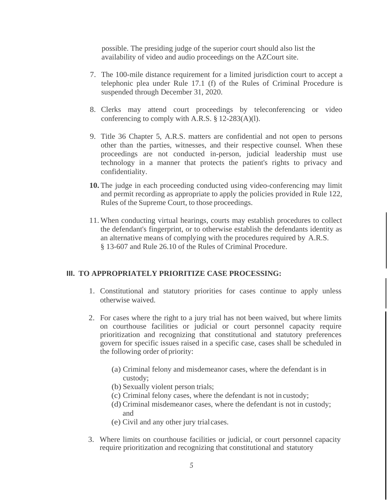possible. The presiding judge of the superior court should also list the availability of video and audio proceedings on the AZCourt site.

- 7. The 100-mile distance requirement for a limited jurisdiction court to accept a telephonic plea under Rule 17.1 (f) of the Rules of Criminal Procedure is suspended through December 31, 2020.
- 8. Clerks may attend court proceedings by teleconferencing or video conferencing to comply with A.R.S.  $\S$  12-283(A)(l).
- 9. Title 36 Chapter 5, A.R.S. matters are confidential and not open to persons other than the parties, witnesses, and their respective counsel. When these proceedings are not conducted in-person, judicial leadership must use technology in a manner that protects the patient's rights to privacy and confidentiality.
- **10.** The judge in each proceeding conducted using video-conferencing may limit and permit recording as appropriate to apply the policies provided in Rule 122, Rules of the Supreme Court, to those proceedings.
- 11. When conducting virtual hearings, courts may establish procedures to collect the defendant's fingerprint, or to otherwise establish the defendants identity as an alternative means of complying with the procedures required by A.R.S. § 13-607 and Rule 26.10 of the Rules of Criminal Procedure.

#### **III. TO APPROPRIATELY PRIORITIZE CASE PROCESSING:**

- 1. Constitutional and statutory priorities for cases continue to apply unless otherwise waived.
- 2. For cases where the right to a jury trial has not been waived, but where limits on courthouse facilities or judicial or court personnel capacity require prioritization and recognizing that constitutional and statutory preferences govern for specific issues raised in a specific case, cases shall be scheduled in the following order of priority:
	- (a) Criminal felony and misdemeanor cases, where the defendant is in custody;
	- (b) Sexually violent person trials;
	- (c) Criminal felony cases, where the defendant is not in custody;
	- (d) Criminal misdemeanor cases, where the defendant is not in custody; and
	- (e) Civil and any other jury trial cases.
- 3. Where limits on courthouse facilities or judicial, or court personnel capacity require prioritization and recognizing that constitutional and statutory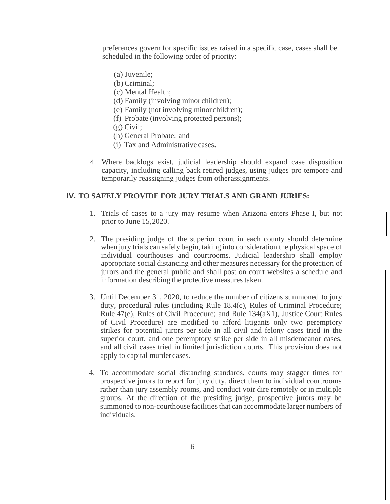preferences govern for specific issues raised in a specific case, cases shall be scheduled in the following order of priority:

- (a) Juvenile;
- (b) Criminal;
- (c) Mental Health;
- (d) Family (involving minor children);
- (e) Family (not involving minor children);
- (f) Probate (involving protected persons);
- (g) Civil;
- (h) General Probate; and
- (i) Tax and Administrative cases.
- 4. Where backlogs exist, judicial leadership should expand case disposition capacity, including calling back retired judges, using judges pro tempore and temporarily reassigning judges from other assignments.

### **IV. TO SAFELY PROVIDE FOR JURY TRIALS AND GRAND JURIES:**

- 1. Trials of cases to a jury may resume when Arizona enters Phase I, but not prior to June 15, 2020.
- 2. The presiding judge of the superior court in each county should determine when jury trials can safely begin, taking into consideration the physical space of individual courthouses and courtrooms. Judicial leadership shall employ appropriate social distancing and other measures necessary for the protection of jurors and the general public and shall post on court websites a schedule and information describing the protective measures taken.
- 3. Until December 31, 2020, to reduce the number of citizens summoned to jury duty, procedural rules (including Rule 18.4(c), Rules of Criminal Procedure; Rule 47(e), Rules of Civil Procedure; and Rule 134(aX1), Justice Court Rules of Civil Procedure) are modified to afford litigants only two peremptory strikes for potential jurors per side in all civil and felony cases tried in the superior court, and one peremptory strike per side in all misdemeanor cases, and all civil cases tried in limited jurisdiction courts. This provision does not apply to capital murder cases.
- 4. To accommodate social distancing standards, courts may stagger times for prospective jurors to report for jury duty, direct them to individual courtrooms rather than jury assembly rooms, and conduct voir dire remotely or in multiple groups. At the direction of the presiding judge, prospective jurors may be summoned to non-courthouse facilities that can accommodate larger numbers of individuals.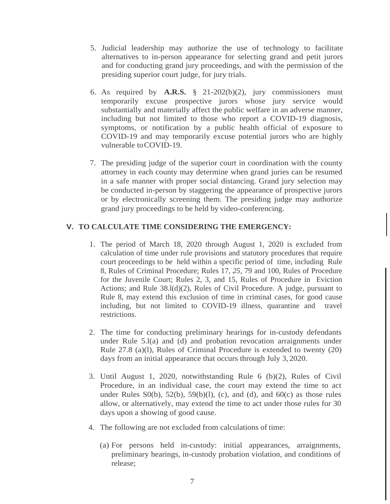- 5. Judicial leadership may authorize the use of technology to facilitate alternatives to in-person appearance for selecting grand and petit jurors and for conducting grand jury proceedings, and with the permission of the presiding superior court judge, for jury trials.
- 6. As required by **A.R.S.** § 21-202(b)(2), jury commissioners must temporarily excuse prospective jurors whose jury service would substantially and materially affect the public welfare in an adverse manner, including but not limited to those who report a COVID-19 diagnosis, symptoms, or notification by a public health official of exposure to COVID-19 and may temporarily excuse potential jurors who are highly vulnerable to COVID-19.
- 7. The presiding judge of the superior court in coordination with the county attorney in each county may determine when grand juries can be resumed in a safe manner with proper social distancing. Grand jury selection may be conducted in-person by staggering the appearance of prospective jurors or by electronically screening them. The presiding judge may authorize grand jury proceedings to be held by video-conferencing.

### **V. TO CALCULATE TIME CONSIDERING THE EMERGENCY:**

- 1. The period of March 18, 2020 through August 1, 2020 is excluded from calculation of time under rule provisions and statutory procedures that require court proceedings to be held within a specific period of time, including Rule 8, Rules of Criminal Procedure; Rules 17, *25,* 79 and 100, Rules of Procedure for the Juvenile Court; Rules 2, 3, and 15, Rules of Procedure in Eviction Actions; and Rule  $38.1(d)(2)$ , Rules of Civil Procedure. A judge, pursuant to Rule 8, may extend this exclusion of time in criminal cases, for good cause including, but not limited to COVID-19 illness, quarantine and travel restrictions.
- 2. The time for conducting preliminary hearings for in-custody defendants under Rule 5.l(a) and (d) and probation revocation arraignments under Rule 27.8 (a)(l), Rules of Criminal Procedure is extended to twenty (20) days from an initial appearance that occurs through July 3, 2020.
- 3. Until August 1, 2020, notwithstanding Rule 6 (b)(2), Rules of Civil Procedure, in an individual case, the court may extend the time to act under Rules  $S(0,b)$ ,  $52(b)$ ,  $59(b)(1)$ , (c), and (d), and  $60(c)$  as those rules allow, or alternatively, may extend the time to act under those rules for 30 days upon a showing of good cause.
- 4. The following are not excluded from calculations of time:
	- (a) For persons held in-custody: initial appearances, arraignments, preliminary hearings, in-custody probation violation, and conditions of release;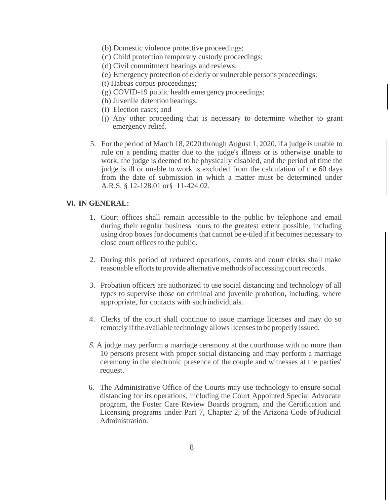- (b) Domestic violence protective proceedings;
- (c) Child protection temporary custody proceedings;
- (d) Civil commitment hearings and reviews;
- (e) Emergency protection of elderly or vulnerable persons proceedings;
- (t) Habeas corpus proceedings;
- (g) COVID-19 public health emergency proceedings;
- (h) Juvenile detention hearings;
- (i) Election cases; and
- (j) Any other proceeding that is necessary to determine whether to grant emergency relief.
- 5. For the period of March 18, 2020 through August 1, 2020, if a judge is unable to rule on a pending matter due to the judge's illness or is otherwise unable to work, the judge is deemed to be physically disabled, and the period of time the judge is ill or unable to work is excluded from the calculation of the 60 days from the date of submission in which a matter must be determined under A.R.S. § 12-128.01 or§ 11-424.02.

#### **VI. IN GENERAL:**

- 1. Court offices shall remain accessible to the public by telephone and email during their regular business hours to the greatest extent possible, including using drop boxes for documents that cannot be e-tiled if it becomes necessary to close court offices to the public.
- 2. During this period of reduced operations, courts and court clerks shall make reasonable efforts to provide alternative methods of accessing court records.
- 3. Probation officers are authorized to use social distancing and technology of all types to supervise those on criminal and juvenile probation, including, where appropriate, for contacts with such individuals.
- 4. Clerks of the court shall continue to issue marriage licenses and may do so remotely if the available technology allows licenses to be properly issued.
- *S.* A judge may perform a marriage ceremony at the courthouse with no more than 10 persons present with proper social distancing and may perform a marriage ceremony in the electronic presence of the couple and witnesses at the parties' request.
- 6. The Administrative Office of the Courts may use technology to ensure social distancing for its operations, including the Court Appointed Special Advocate program, the Foster Care Review Boards program, and the Certification and Licensing programs under Part 7, Chapter 2, of the Arizona Code of Judicial Administration.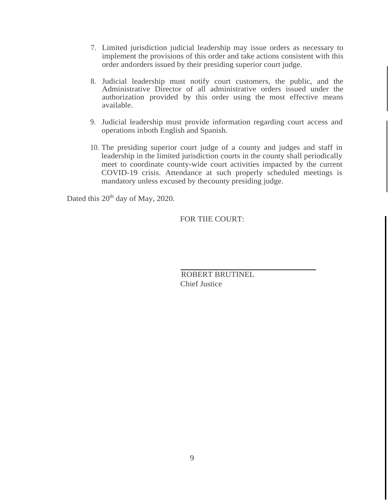- 7. Limited jurisdiction judicial leadership may issue orders as necessary to implement the provisions of this order and take actions consistent with this order and orders issued by their presiding superior court judge.
- 8. Judicial leadership must notify court customers, the public, and the Administrative Director of all administrative orders issued under the authorization provided by this order using the most effective means available.
- 9. Judicial leadership must provide information regarding court access and operations in both English and Spanish.
- 10. The presiding superior court judge of a county and judges and staff in leadership in the limited jurisdiction courts in the county shall periodically meet to coordinate county-wide court activities impacted by the current COVID-19 crisis. Attendance at such properly scheduled meetings is mandatory unless excused by the county presiding judge.

Dated this 20<sup>th</sup> day of May, 2020.

FOR TIIE COURT:

ROBERT BRUTINEL Chief Justice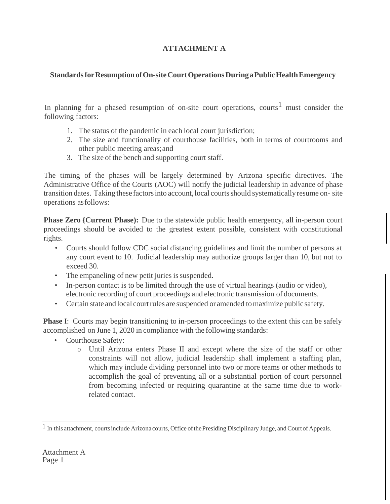# **ATTACHMENT A**

## **Standards for Resumption of On-site Court Operations During a Public Health Emergency**

In planning for a phased resumption of on-site court operations, courts<sup>1</sup> must consider the following factors:

- 1. The status of the pandemic in each local court jurisdiction;
- 2. The size and functionality of courthouse facilities, both in terms of courtrooms and other public meeting areas; and
- 3. The size of the bench and supporting court staff.

The timing of the phases will be largely determined by Arizona specific directives. The Administrative Office of the Courts (AOC) will notify the judicial leadership in advance of phase transition dates. Taking these factors into account, local courts should systematically resume on- site operations as follows:

**Phase Zero {Current Phase}:** Due to the statewide public health emergency, all in-person court proceedings should be avoided to the greatest extent possible, consistent with constitutional rights.

- Courts should follow CDC social distancing guidelines and limit the number of persons at any court event to 10. Judicial leadership may authorize groups larger than 10, but not to exceed 30.
- The empaneling of new petit juries is suspended.
- In-person contact is to be limited through the use of virtual hearings (audio or video), electronic recording of court proceedings and electronic transmission of documents.
- Certain state and local court rules are suspended or amended to maximize public safety.

**Phase** I: Courts may begin transitioning to in-person proceedings to the extent this can be safely accomplished on June 1, 2020 in compliance with the following standards:

- Courthouse Safety:
	- o Until Arizona enters Phase II and except where the size of the staff or other constraints will not allow, judicial leadership shall implement a staffing plan, which may include dividing personnel into two or more teams or other methods to accomplish the goal of preventing all or a substantial portion of court personnel from becoming infected or requiring quarantine at the same time due to workrelated contact.

 $<sup>1</sup>$  In this attachment, courts include Arizona courts, Office of the Presiding Disciplinary Judge, and Court of Appeals.</sup>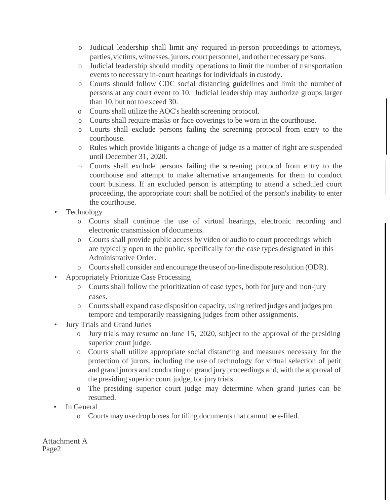- o Judicial leadership shall limit any required in-person proceedings to attorneys, parties, victims, witnesses, jurors, court personnel, and other necessary persons.
- o Judicial leadership should modify operations to limit the number of transportation events to necessary in-court hearings for individuals in custody.
- o Courts should follow CDC social distancing guidelines and limit the number of persons at any court event to 10. Judicial leadership may authorize groups larger than 10, but not to exceed 30.
- o Courts shall utilize the AOC's health screening protocol.
- o Courts shall require masks or face coverings to be worn in the courthouse.
- o Courts shall exclude persons failing the screening protocol from entry to the courthouse.
- o Rules which provide litigants a change of judge as a matter of right are suspended until December 31, 2020.
- o Courts shall exclude persons failing the screening protocol from entry to the courthouse and attempt to make alternative arrangements for them to conduct court business. If an excluded person is attempting to attend a scheduled court proceeding, the appropriate court shall be notified of the person's inability to enter the courthouse.
- Technology
	- o Courts shall continue the use of virtual hearings, electronic recording and electronic transmission of documents.
	- o Courts shall provide public access by video or audio to court proceedings which are typically open to the public, specifically for the case types designated in this Administrative Order.
	- o Courts shall consider and encourage the use of on-line dispute resolution (ODR).
- Appropriately Prioritize Case Processing
	- o Courts shall follow the prioritization of case types, both for jury and non-jury cases.
	- o Courts shall expand case disposition capacity, using retired judges and judges pro tempore and temporarily reassigning judges from other assignments.
- Jury Trials and Grand Juries
	- o Jury trials may resume on June 15, 2020, subject to the approval of the presiding superior court judge.
	- o Courts shall utilize appropriate social distancing and measures necessary for the protection of jurors, including the use of technology for virtual selection of petit and grand jurors and conducting of grand jury proceedings and, with the approval of the presiding superior court judge, for jury trials.
	- o The presiding superior court judge may determine when grand juries can be resumed.
- In General
	- o Courts may use drop boxes for tiling documents that cannot be e-filed.

Attachment A Page2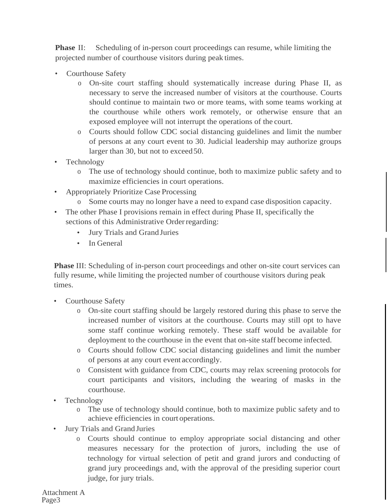**Phase II:** Scheduling of in-person court proceedings can resume, while limiting the projected number of courthouse visitors during peak times.

- Courthouse Safety
	- o On-site court staffing should systematically increase during Phase II, as necessary to serve the increased number of visitors at the courthouse. Courts should continue to maintain two or more teams, with some teams working at the courthouse while others work remotely, or otherwise ensure that an exposed employee will not interrupt the operations of the court.
	- o Courts should follow CDC social distancing guidelines and limit the number of persons at any court event to 30. Judicial leadership may authorize groups larger than 30, but not to exceed 50.
- Technology
	- o The use of technology should continue, both to maximize public safety and to maximize efficiencies in court operations.
- Appropriately Prioritize Case Processing
	- o Some courts may no longer have a need to expand case disposition capacity.
- The other Phase I provisions remain in effect during Phase II, specifically the sections of this Administrative Order regarding:
	- Jury Trials and Grand Juries
	- In General

**Phase** III: Scheduling of in-person court proceedings and other on-site court services can fully resume, while limiting the projected number of courthouse visitors during peak times.

- Courthouse Safety
	- o On-site court staffing should be largely restored during this phase to serve the increased number of visitors at the courthouse. Courts may still opt to have some staff continue working remotely. These staff would be available for deployment to the courthouse in the event that on-site staff become infected.
	- o Courts should follow CDC social distancing guidelines and limit the number of persons at any court event accordingly.
	- o Consistent with guidance from CDC, courts may relax screening protocols for court participants and visitors, including the wearing of masks in the courthouse.
- Technology
	- o The use of technology should continue, both to maximize public safety and to achieve efficiencies in court operations.
- Jury Trials and Grand Juries
	- o Courts should continue to employ appropriate social distancing and other measures necessary for the protection of jurors, including the use of technology for virtual selection of petit and grand jurors and conducting of grand jury proceedings and, with the approval of the presiding superior court judge, for jury trials.

Attachment A Page3